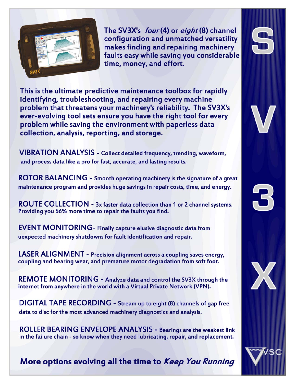

The SV3X's four(4) or eight(8) channel configuration and unmatched versatility makes finding and repairing machinery faults easy while saving you considerable time, money, and effort.

This is the ultimate predictive maintenance toolbox for rapidly identifying, troubleshooting, and repairing every machine problem that threatens your machinery's reliability. The SV3X's ever-evolving tool sets ensure you have the right tool for every problem while saving the environment with paperless data collection, analysis, reporting, and storage.

**VIBRATION ANALYSIS** - Collect detailed frequency, trending, waveform, and process data like a pro for fast, accurate, and lasting results.

ROTOR BALANCING - Smooth operating machinery is the signature of a great maintenance program and provides huge savings in repair costs, time, and energy.

ROUTE COLLECTION - 3x faster data collection than 1 or 2 channel systems. Providing you 66% more time to repair the faults you find.

**EVENT MONITORING-** Finally capture elusive diagnostic data from uexpected machinery shutdowns for fault identification and repair.

LASER ALIGNMENT - Precision alignment across a coupling saves energy, coupling and bearing wear, and premature motor degradation from soft foot.

**REMOTE MONITORING - Analyze data and control the SV3X through the** internet from anywhere in the world with a Virtual Private Network (VPN).

DIGITAL TAPE RECORDING - Stream up to eight (8) channels of gap free data to disc for the most advanced machinery diagnostics and analysis.

**ROLLER BEARING ENVELOPE ANALYSIS - Bearings are the weakest link** in the failure chain - so know when they need lubricating, repair, and replacement.

More options evolving all the time to Keep You Running